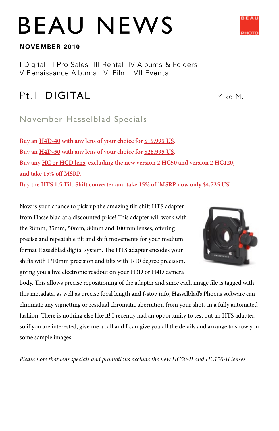# BEAU NEWS

#### **NOVEMBER 2010**

I Digital II Pro Sales III Rental IV Albums & Folders V Renaissance Albums VI Film VII Events

# Pt. I **DIGITAL** Mike M.

### November Hasselblad Specials

**Buy an H4D-40 with any lens of your choice for \$19,995 US. Buy an H4D-50 with any lens of your choice for \$28,995 US. Buy any HC or HCD lens, excluding the new version 2 HC50 and version 2 HC120, and take 15% off MSRP. Buy the HTS 1.5 Tilt-Shift converter and take 15% off MSRP now only \$4,725 US!**

Now is your chance to pick up the amazing tilt-shift HTS adapter from Hasselblad at a discounted price! This adapter will work with the 28mm, 35mm, 50mm, 80mm and 100mm lenses, offering precise and repeatable tilt and shift movements for your medium format Hasselblad digital system. The HTS adapter encodes your shifts with 1/10mm precision and tilts with 1/10 degree precision, giving you a live electronic readout on your H3D or H4D camera

body. This allows precise repositioning of the adapter and since each image file is tagged with this metadata, as well as precise focal length and f-stop info, Hasselblad's Phocus software can eliminate any vignetting or residual chromatic aberration from your shots in a fully automated fashion. There is nothing else like it! I recently had an opportunity to test out an HTS adapter, so if you are interested, give me a call and I can give you all the details and arrange to show you some sample images.

*Please note that lens specials and promotions exclude the new HC50-II and HC120-II lenses.*



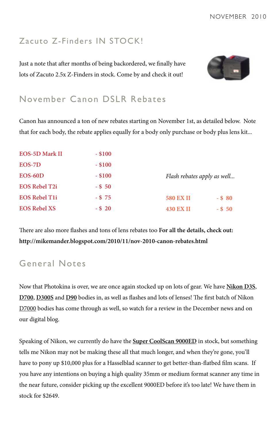### Zacuto Z-Finders IN STOCK!

Just a note that after months of being backordered, we finally have lots of Zacuto 2.5x Z-Finders in stock. Come by and check it out!



### November Canon DSLR Rebates

Canon has announced a ton of new rebates starting on November 1st, as detailed below. Note that for each body, the rebate applies equally for a body only purchase or body plus lens kit...

| <b>EOS-5D Mark II</b> | $-$ \$100 |                             |           |
|-----------------------|-----------|-----------------------------|-----------|
| EOS-7D                | $-$ \$100 |                             |           |
| $EOS-60D$             | $-$ \$100 | Flash rebates apply as well |           |
| <b>EOS Rebel T2i</b>  | $-$ \$ 50 |                             |           |
| <b>EOS Rebel T1i</b>  | $-$ \$ 75 | <b>580 EX II</b>            | $-$ \$ 80 |
| <b>EOS Rebel XS</b>   | $-$ \$ 20 | <b>430 EX II</b>            | $-$ \$ 50 |

There are also more flashes and tons of lens rebates too **For all the details, check out: http://mikemander.blogspot.com/2010/11/nov-2010-canon-rebates.html**

### General Notes

Now that Photokina is over, we are once again stocked up on lots of gear. We have **Nikon D3S**, **D700**, **D300S** and **D90** bodies in, as well as flashes and lots of lenses! The first batch of Nikon D7000 bodies has come through as well, so watch for a review in the December news and on our digital blog.

Speaking of Nikon, we currently do have the **Super CoolScan 9000ED** in stock, but something tells me Nikon may not be making these all that much longer, and when they're gone, you'll have to pony up \$10,000 plus for a Hasselblad scanner to get better-than-flatbed film scans. If you have any intentions on buying a high quality 35mm or medium format scanner any time in the near future, consider picking up the excellent 9000ED before it's too late! We have them in stock for \$2649.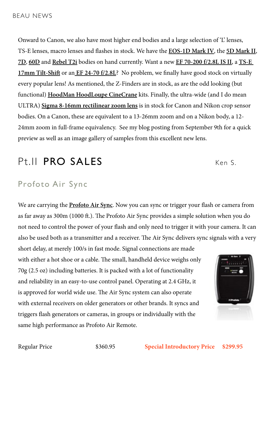Onward to Canon, we also have most higher end bodies and a large selection of 'L' lenses, TS-E lenses, macro lenses and flashes in stock. We have the **EOS-1D Mark IV**, the **5D Mark II**, **7D**, **60D** and **Rebel T2i** bodies on hand currently. Want a new **EF 70-200 f/2.8L IS II**, a **TS-E 17mm Tilt-Shift** or an **EF 24-70 f/2.8L**? No problem, we finally have good stock on virtually every popular lens! As mentioned, the Z-Finders are in stock, as are the odd looking (but functional) **HoodMan HoodLoupe CineCrane** kits. Finally, the ultra-wide (and I do mean ULTRA) **Sigma 8-16mm rectilinear zoom lens** is in stock for Canon and Nikon crop sensor bodies. On a Canon, these are equivalent to a 13-26mm zoom and on a Nikon body, a 12- 24mm zoom in full-frame equivalency. See my blog posting from September 9th for a quick preview as well as an image gallery of samples from this excellent new lens.

# Pt.II PRO SALES Ken S.

### Profoto Air Sync

We are carrying the **Profoto Air Sync**. Now you can sync or trigger your flash or camera from as far away as 300m (1000 ft.). The Profoto Air Sync provides a simple solution when you do not need to control the power of your flash and only need to trigger it with your camera. It can also be used both as a transmitter and a receiver. The Air Sync delivers sync signals with a very

short delay, at merely 100/s in fast mode. Signal connections are made with either a hot shoe or a cable. The small, handheld device weighs only 70g (2.5 oz) including batteries. It is packed with a lot of functionality and reliability in an easy-to-use control panel. Operating at 2.4 GHz, it is approved for world wide use. The Air Sync system can also operate with external receivers on older generators or other brands. It syncs and triggers flash generators or cameras, in groups or individually with the same high performance as Profoto Air Remote.



Regular Price \$360.95 **Special Introductory Price \$299.95**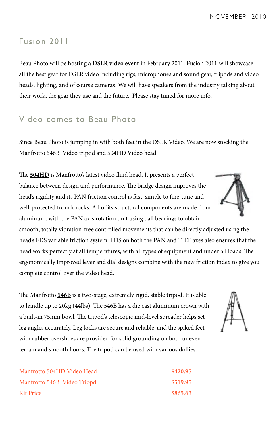NOVEMBER 2010

#### Fusion 2011

Beau Photo will be hosting a **DSLR video event** in February 2011. Fusion 2011 will showcase all the best gear for DSLR video including rigs, microphones and sound gear, tripods and video heads, lighting, and of course cameras. We will have speakers from the industry talking about their work, the gear they use and the future. Please stay tuned for more info.

### Video comes to Beau Photo

Since Beau Photo is jumping in with both feet in the DSLR Video. We are now stocking the Manfrotto 546B Video tripod and 504HD Video head.

The **504HD** is Manfrotto's latest video fluid head. It presents a perfect balance between design and performance. The bridge design improves the head's rigidity and its PAN friction control is fast, simple to fine-tune and well-protected from knocks. All of its structural components are made from aluminum. with the PAN axis rotation unit using ball bearings to obtain

smooth, totally vibration-free controlled movements that can be directly adjusted using the head's FDS variable friction system. FDS on both the PAN and TILT axes also ensures that the head works perfectly at all temperatures, with all types of equipment and under all loads. The ergonomically improved lever and dial designs combine with the new friction index to give you complete control over the video head.

The Manfrotto **546B** is a two-stage, extremely rigid, stable tripod. It is able to handle up to 20kg (44lbs). The 546B has a die cast aluminum crown with a built-in 75mm bowl. The tripod's telescopic mid-level spreader helps set leg angles accurately. Leg locks are secure and reliable, and the spiked feet with rubber overshoes are provided for solid grounding on both uneven terrain and smooth floors. The tripod can be used with various dollies.

| Manfrotto 504HD Video Head  | \$420.95 |
|-----------------------------|----------|
| Manfrotto 546B Video Triopd | \$519.95 |
| Kit Price                   | \$865.63 |



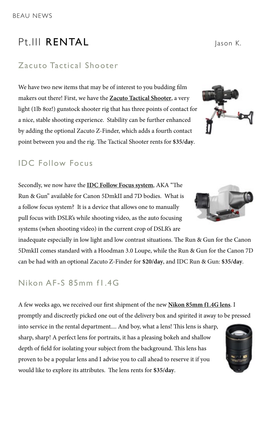# Pt.III RENTAL Jason K.

### Zacuto Tactical Shooter

We have two new items that may be of interest to you budding film makers out there! First, we have the **Zacuto Tactical Shooter**, a very light (1lb 8oz!) gunstock shooter rig that has three points of contact for a nice, stable shooting experience. Stability can be further enhanced by adding the optional Zacuto Z-Finder, which adds a fourth contact point between you and the rig. The Tactical Shooter rents for **\$35/day**.

### IDC Follow Focus

Secondly, we now have the **IDC Follow Focus system**, AKA "The Run & Gun" available for Canon 5DmkII and 7D bodies. What is a follow focus system? It is a device that allows one to manually pull focus with DSLR's while shooting video, as the auto focusing systems (when shooting video) in the current crop of DSLR's are

inadequate especially in low light and low contrast situations. The Run & Gun for the Canon 5DmkII comes standard with a Hoodman 3.0 Loupe, while the Run & Gun for the Canon 7D can be had with an optional Zacuto Z-Finder for **\$20/day**, and IDC Run & Gun: **\$35/day**.

### Nikon AF-S 85mm f1.4G

A few weeks ago, we received our first shipment of the new **Nikon 85mm f1.4G lens**. I promptly and discreetly picked one out of the delivery box and spirited it away to be pressed

into service in the rental department.... And boy, what a lens! This lens is sharp, sharp, sharp! A perfect lens for portraits, it has a pleasing bokeh and shallow depth of field for isolating your subject from the background. This lens has proven to be a popular lens and I advise you to call ahead to reserve it if you would like to explore its attributes. The lens rents for **\$35/day**.



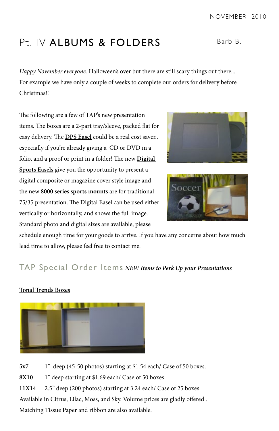# Pt. IV ALBUMS & FOLDERS Barb B.

*Happy November everyone.* Hallowe'en's over but there are still scary things out there... For example we have only a couple of weeks to complete our orders for delivery before Christmas!!

The following are a few of TAP's new presentation items. The boxes are a 2-part tray/sleeve, packed flat for easy delivery. The **DPS Easel** could be a real cost saver.. especially if you're already giving a CD or DVD in a folio, and a proof or print in a folder! The new **Digital Sports Easels** give you the opportunity to present a digital composite or magazine cover style image and the new **8000 series sports mounts** are for traditional 75/35 presentation. The Digital Easel can be used either vertically or horizontally, and shows the full image. Standard photo and digital sizes are available, please

schedule enough time for your goods to arrive. If you have any concerns about how much lead time to allow, please feel free to contact me.

### TAP Special Order Items *NEW Items to Perk Up your Presentations*

#### **Tonal Trends Boxes**

**5x7** 1" deep (45-50 photos) starting at \$1.54 each/ Case of 50 boxes.

**8X10** 1" deep starting at \$1.69 each/ Case of 50 boxes.

**11X14** 2.5" deep (200 photos) starting at 3.24 each/ Case of 25 boxes

Available in Citrus, Lilac, Moss, and Sky. Volume prices are gladly offered .

Matching Tissue Paper and ribbon are also available.







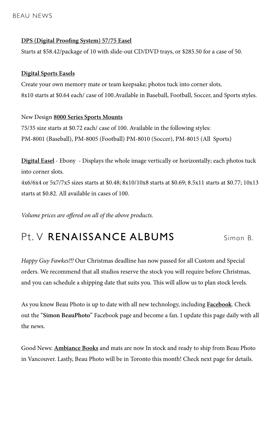#### **DPS (Digital Proofing System) 57/75 Easel**

Starts at \$58.42/package of 10 with slide-out CD/DVD trays, or \$285.50 for a case of 50.

#### **Digital Sports Easels**

Create your own memory mate or team keepsake; photos tuck into corner slots. 8x10 starts at \$0.64 each/ case of 100.Available in Baseball, Football, Soccer, and Sports styles.

#### New Design **8000 Series Sports Mounts**

75/35 size starts at \$0.72 each/ case of 100. Available in the following styles: PM-8001 (Baseball), PM-8005 (Football) PM-8010 (Soccer), PM-8015 (All Sports)

**Digital Easel** - Ebony - Displays the whole image vertically or horizontally; each photos tuck into corner slots. 4x6/6x4 or 5x7/7x5 sizes starts at \$0.48; 8x10/10x8 starts at \$0.69; 8.5x11 starts at \$0.77; 10x13 starts at \$0.82. All available in cases of 100.

*Volume prices are offered on all of the above products.*

# Pt. V **RENAISSANCE ALBUMS** Simon B.

*Happy Guy Fawkes!!!* Our Christmas deadline has now passed for all Custom and Special orders. We recommend that all studios reserve the stock you will require before Christmas, and you can schedule a shipping date that suits you. This will allow us to plan stock levels.

As you know Beau Photo is up to date with all new technology, including **Facebook**. Check out the "**Simon BeauPhoto**" Facebook page and become a fan. I update this page daily with all the news.

Good News: **Ambiance Books** and mats are now In stock and ready to ship from Beau Photo in Vancouver. Lastly, Beau Photo will be in Toronto this month! Check next page for details.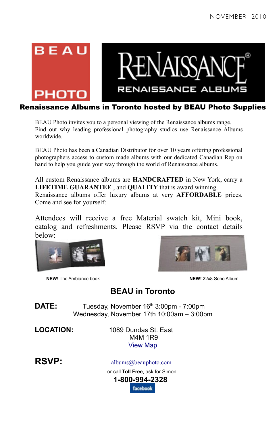



#### Renaissance Albums in Toronto hosted by BEAU Photo Supplies

BEAU Photo invites you to a personal viewing of the Renaissance albums range. Find out why leading professional photography studios use Renaissance Albums worldwide.

BEAU Photo has been a Canadian Distributor for over 10 years offering professional photographers access to custom made albums with our dedicated Canadian Rep on hand to help you guide your way through the world of Renaissance albums.

All custom Renaissance albums are **HANDCRAFTED** in New York, carry a **LIFETIME GUARANTEE** , and **QUALITY** that is award winning. Renaissance albums offer luxury albums at very **AFFORDABLE** prices. Come and see for yourself:

Attendees will receive a free Material swatch kit, Mini book, catalog and refreshments. Please RSVP via the contact details below:



**NEW!** The Ambiance book **NEW!** 22x8 Soho Album



### **BEAU in Toronto**

DATE: Tuesday, November 16<sup>th</sup> 3:00pm - 7:00pm Wednesday, November 17th 10:00am – 3:00pm

**LOCATION:** 1089 Dundas St. East M4M 1R9 View Map

**RSVP:** albums@beauphoto.com

 or call **Toll Free**, ask for Simon  **1-800-994-2328 facebook**